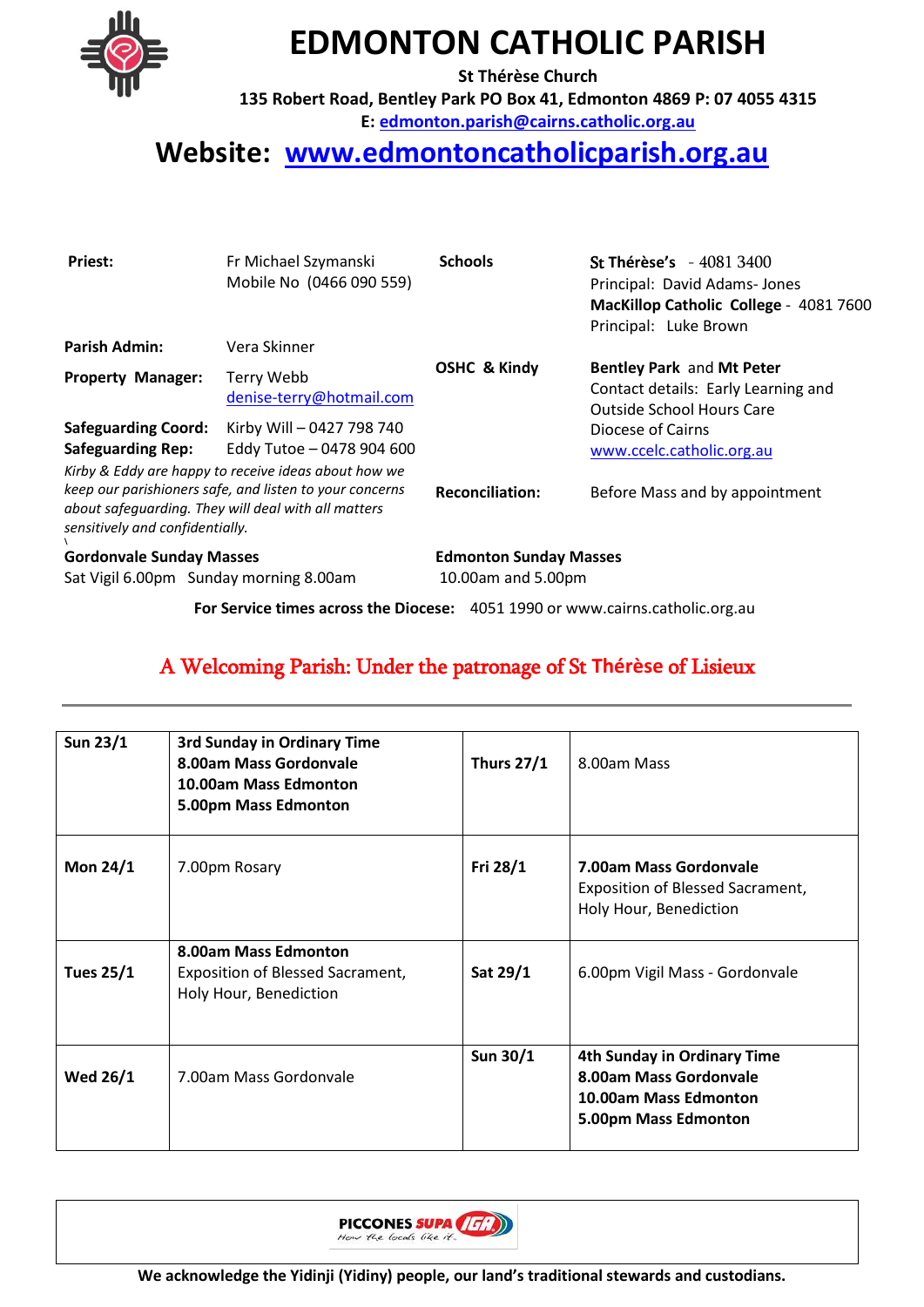

## **EDMONTON CATHOLIC PARISH**

**St Thérèse Church** 

**135 Robert Road, Bentley Park PO Box 41, Edmonton 4869 P: 07 4055 4315**

**E: [edmonton.parish@cairns.catholic.org.au](mailto:edmonton.parish@cairns.catholic.org.au)**

## **Website: [www.edmontoncatholicparish.org.au](http://www.edmontoncatholicparish.org.au/)**

| Priest:                                                                                                                                           | Fr Michael Szymanski<br>Mobile No (0466 090 559)                                                             | <b>Schools</b>                | <b>St Thérèse's</b> - 4081 3400<br>Principal: David Adams- Jones<br>MacKillop Catholic College - 4081 7600<br>Principal: Luke Brown |  |
|---------------------------------------------------------------------------------------------------------------------------------------------------|--------------------------------------------------------------------------------------------------------------|-------------------------------|-------------------------------------------------------------------------------------------------------------------------------------|--|
| Parish Admin:                                                                                                                                     | Vera Skinner                                                                                                 |                               |                                                                                                                                     |  |
| <b>Property Manager:</b>                                                                                                                          | Terry Webb<br>denise-terry@hotmail.com                                                                       | <b>OSHC &amp; Kindy</b>       | Bentley Park and Mt Peter<br>Contact details: Early Learning and<br><b>Outside School Hours Care</b>                                |  |
| <b>Safeguarding Coord:</b><br><b>Safeguarding Rep:</b>                                                                                            | Kirby Will-0427 798 740<br>Eddy Tutoe - 0478 904 600<br>Kirby & Eddy are happy to receive ideas about how we |                               | Diocese of Cairns<br>www.ccelc.catholic.org.au                                                                                      |  |
| keep our parishioners safe, and listen to your concerns<br>about safeguarding. They will deal with all matters<br>sensitively and confidentially. |                                                                                                              | <b>Reconciliation:</b>        | Before Mass and by appointment                                                                                                      |  |
| <b>Gordonvale Sunday Masses</b>                                                                                                                   |                                                                                                              | <b>Edmonton Sunday Masses</b> |                                                                                                                                     |  |
| Sat Vigil 6.00pm Sunday morning 8.00am                                                                                                            |                                                                                                              | 10.00am and 5.00pm            |                                                                                                                                     |  |
|                                                                                                                                                   | For Service times across the Diocese: 4051 1990 or www.cairns.catholic.org.au                                |                               |                                                                                                                                     |  |

### A Welcoming Parish: Under the patronage of St **Thérèse** of Lisieux

| Sun 23/1         | 3rd Sunday in Ordinary Time<br>8.00am Mass Gordonvale<br>10.00am Mass Edmonton<br>5.00pm Mass Edmonton | <b>Thurs 27/1</b> | 8.00am Mass                                                                                            |
|------------------|--------------------------------------------------------------------------------------------------------|-------------------|--------------------------------------------------------------------------------------------------------|
| <b>Mon 24/1</b>  | 7.00pm Rosary                                                                                          | Fri 28/1          | 7.00am Mass Gordonvale<br><b>Exposition of Blessed Sacrament,</b><br>Holy Hour, Benediction            |
| <b>Tues 25/1</b> | 8.00am Mass Edmonton<br>Exposition of Blessed Sacrament,<br>Holy Hour, Benediction                     | Sat 29/1          | 6.00pm Vigil Mass - Gordonvale                                                                         |
| <b>Wed 26/1</b>  | 7.00am Mass Gordonvale                                                                                 | Sun 30/1          | 4th Sunday in Ordinary Time<br>8.00am Mass Gordonvale<br>10.00am Mass Edmonton<br>5.00pm Mass Edmonton |